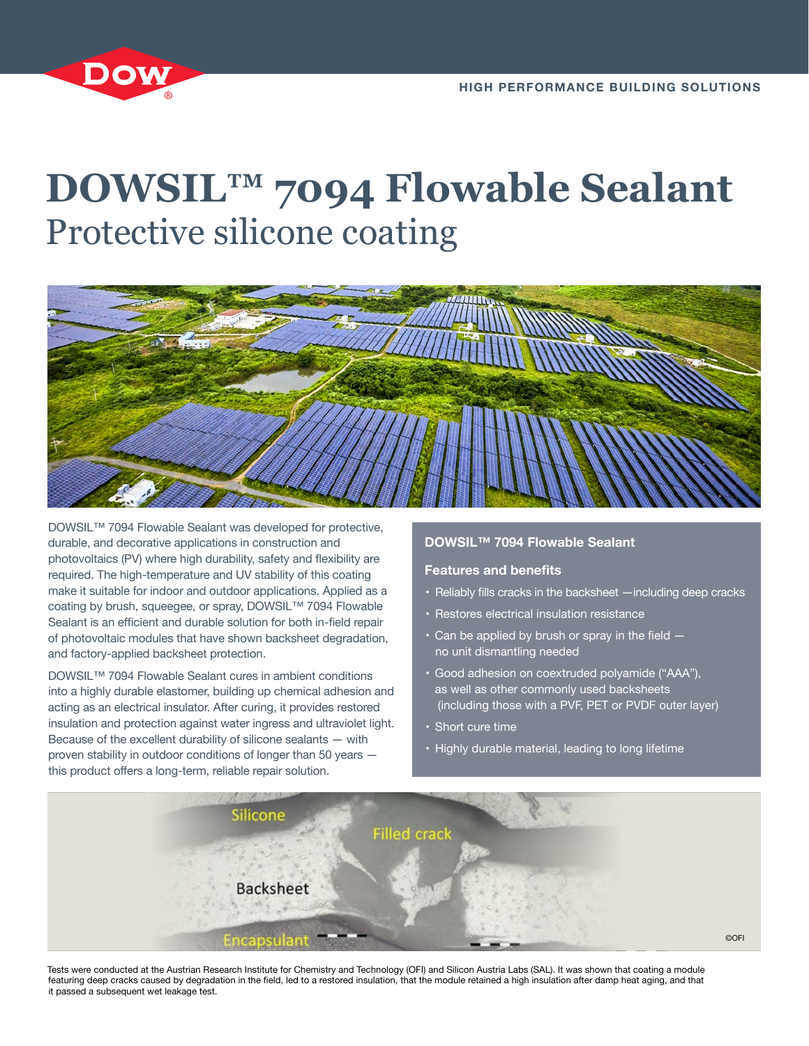

# **DOWSIL™ 7094 Flowable Sealant** Protective silicone coating



DOWSIL™ 7094 Flowable Sealant was developed for protective, durable, and decorative applications in construction and photovoltaics (PV) where high durability, safety and flexibility are required. The high-temperature and UV stability of this coating make it suitable for indoor and outdoor applications. Applied as a coating by brush, squeegee, or spray, DOWSIL™ 7094 Flowable Sealant is an efficient and durable solution for both in-field repair of photovoltaic modules that have shown backsheet degradation, and factory-applied backsheet protection.

DOWSIL™ 7094 Flowable Sealant cures in ambient conditions into a highly durable elastomer, building up chemical adhesion and acting as an electrical insulator. After curing, it provides restored insulation and protection against water ingress and ultraviolet light. Because of the excellent durability of silicone sealants — with proven stability in outdoor conditions of longer than 50 years this product offers a long-term, reliable repair solution.

## **DOWSIL™ 7094 Flowable Sealant**

## **Features and benefits**

- Reliably fills cracks in the backsheet —including deep cracks
- Restores electrical insulation resistance
- $\cdot$  Can be applied by brush or spray in the field  $$ no unit dismantling needed
- Good adhesion on coextruded polyamide ("AAA"), as well as other commonly used backsheets (including those with a PVF, PET or PVDF outer layer)
- Short cure time
- Highly durable material, leading to long lifetime



Tests were conducted at the Austrian Research Institute for Chemistry and Technology (OFI) and Silicon Austria Labs (SAL). It was shown that coating a module featuring deep cracks caused by degradation in the field, led to a restored insulation, that the module retained a high insulation after damp heat aging, and that it passed a subsequent wet leakage test.